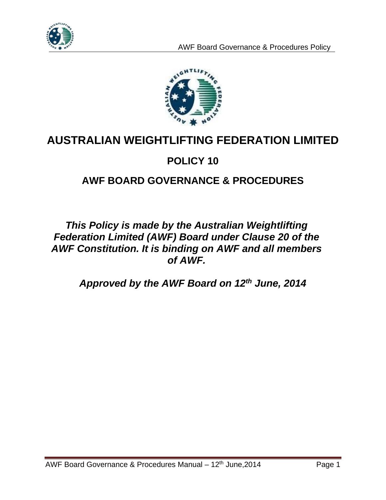



# **AUSTRALIAN WEIGHTLIFTING FEDERATION LIMITED**

# **POLICY 10**

# **AWF BOARD GOVERNANCE & PROCEDURES**

# *This Policy is made by the Australian Weightlifting Federation Limited (AWF) Board under Clause 20 of the AWF Constitution. It is binding on AWF and all members of AWF.*

*Approved by the AWF Board on 12th June, 2014*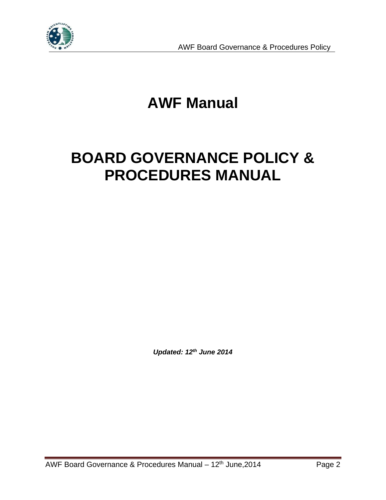

AWF Board Governance & Procedures Policy

# **AWF Manual**

# **BOARD GOVERNANCE POLICY & PROCEDURES MANUAL**

*Updated: 12th June 2014*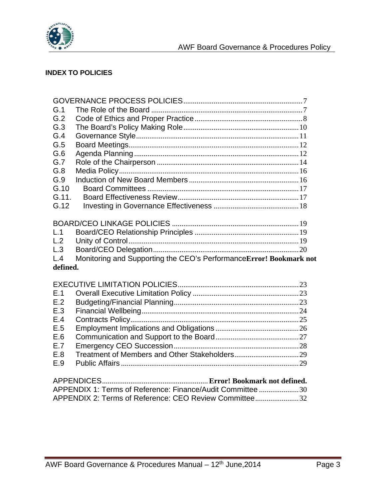

#### **INDEX TO POLICIES**

| G.1      |                                                                    |  |
|----------|--------------------------------------------------------------------|--|
| G.2      |                                                                    |  |
| G.3      |                                                                    |  |
| G.4      |                                                                    |  |
| G.5      |                                                                    |  |
| G.6      |                                                                    |  |
| G.7      |                                                                    |  |
| G.8      |                                                                    |  |
| G.9      |                                                                    |  |
| G.10     |                                                                    |  |
| G.11.    |                                                                    |  |
| G.12     |                                                                    |  |
|          |                                                                    |  |
| L.1      |                                                                    |  |
| L.2      |                                                                    |  |
| L.3      |                                                                    |  |
| L.4      | Monitoring and Supporting the CEO's PerformanceError! Bookmark not |  |
| defined. |                                                                    |  |
|          |                                                                    |  |
|          |                                                                    |  |
| E.1      |                                                                    |  |
| E.2      |                                                                    |  |
| E.3      |                                                                    |  |
| E.4      |                                                                    |  |
| E.5      |                                                                    |  |
| E.6      |                                                                    |  |
| E.7      |                                                                    |  |
| E.8      |                                                                    |  |
| E.9      |                                                                    |  |
|          |                                                                    |  |
|          | APPENDIX 1: Terms of Reference: Finance/Audit Committee 30         |  |
|          | APPENDIX 2: Terms of Reference: CEO Review Committee32             |  |
|          |                                                                    |  |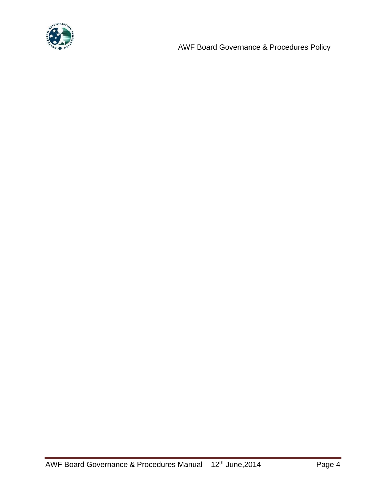

AWF Board Governance & Procedures Policy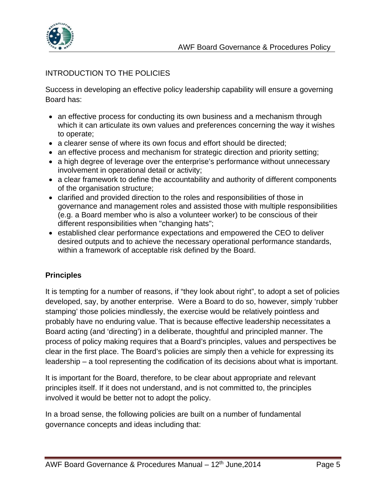

### INTRODUCTION TO THE POLICIES

Success in developing an effective policy leadership capability will ensure a governing Board has:

- an effective process for conducting its own business and a mechanism through which it can articulate its own values and preferences concerning the way it wishes to operate;
- a clearer sense of where its own focus and effort should be directed;
- an effective process and mechanism for strategic direction and priority setting;
- a high degree of leverage over the enterprise's performance without unnecessary involvement in operational detail or activity;
- a clear framework to define the accountability and authority of different components of the organisation structure;
- clarified and provided direction to the roles and responsibilities of those in governance and management roles and assisted those with multiple responsibilities (e.g. a Board member who is also a volunteer worker) to be conscious of their different responsibilities when "changing hats";
- established clear performance expectations and empowered the CEO to deliver desired outputs and to achieve the necessary operational performance standards, within a framework of acceptable risk defined by the Board.

#### **Principles**

It is tempting for a number of reasons, if "they look about right", to adopt a set of policies developed, say, by another enterprise. Were a Board to do so, however, simply 'rubber stamping' those policies mindlessly, the exercise would be relatively pointless and probably have no enduring value. That is because effective leadership necessitates a Board acting (and 'directing') in a deliberate, thoughtful and principled manner. The process of policy making requires that a Board's principles, values and perspectives be clear in the first place. The Board's policies are simply then a vehicle for expressing its leadership – a tool representing the codification of its decisions about what is important.

It is important for the Board, therefore, to be clear about appropriate and relevant principles itself. If it does not understand, and is not committed to, the principles involved it would be better not to adopt the policy.

In a broad sense, the following policies are built on a number of fundamental governance concepts and ideas including that: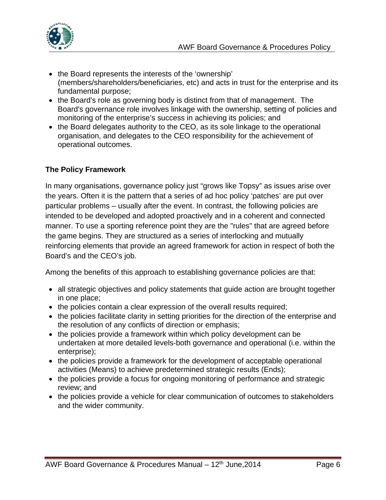

- the Board represents the interests of the 'ownership' (members/shareholders/beneficiaries, etc) and acts in trust for the enterprise and its fundamental purpose;
- the Board's role as governing body is distinct from that of management. The Board's governance role involves linkage with the ownership, setting of policies and monitoring of the enterprise's success in achieving its policies; and
- the Board delegates authority to the CEO, as its sole linkage to the operational organisation, and delegates to the CEO responsibility for the achievement of operational outcomes.

#### **The Policy Framework**

In many organisations, governance policy just "grows like Topsy" as issues arise over the years. Often it is the pattern that a series of ad hoc policy 'patches' are put over particular problems – usually after the event. In contrast, the following policies are intended to be developed and adopted proactively and in a coherent and connected manner. To use a sporting reference point they are the "rules" that are agreed before the game begins. They are structured as a series of interlocking and mutually reinforcing elements that provide an agreed framework for action in respect of both the Board's and the CEO's job.

Among the benefits of this approach to establishing governance policies are that:

- all strategic objectives and policy statements that guide action are brought together in one place;
- the policies contain a clear expression of the overall results required;
- the policies facilitate clarity in setting priorities for the direction of the enterprise and the resolution of any conflicts of direction or emphasis;
- the policies provide a framework within which policy development can be undertaken at more detailed levels-both governance and operational (i.e. within the enterprise);
- the policies provide a framework for the development of acceptable operational activities (Means) to achieve predetermined strategic results (Ends);
- the policies provide a focus for ongoing monitoring of performance and strategic review; and
- the policies provide a vehicle for clear communication of outcomes to stakeholders and the wider community.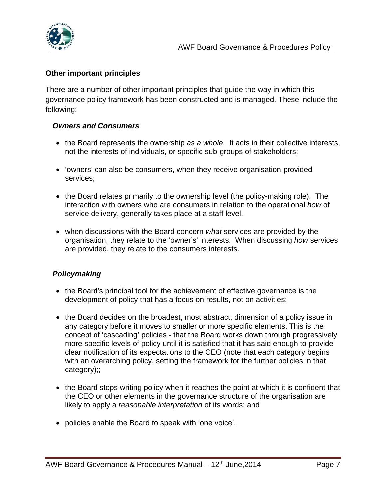

#### **Other important principles**

There are a number of other important principles that guide the way in which this governance policy framework has been constructed and is managed. These include the following:

#### *Owners and Consumers*

- the Board represents the ownership *as a whole*. It acts in their collective interests, not the interests of individuals, or specific sub-groups of stakeholders;
- 'owners' can also be consumers, when they receive organisation-provided services;
- the Board relates primarily to the ownership level (the policy-making role). The interaction with owners who are consumers in relation to the operational *how* of service delivery, generally takes place at a staff level.
- when discussions with the Board concern *what* services are provided by the organisation, they relate to the 'owner's' interests. When discussing *how* services are provided, they relate to the consumers interests.

#### *Policymaking*

- the Board's principal tool for the achievement of effective governance is the development of policy that has a focus on results, not on activities;
- the Board decides on the broadest, most abstract, dimension of a policy issue in any category before it moves to smaller or more specific elements. This is the concept of 'cascading' policies - that the Board works down through progressively more specific levels of policy until it is satisfied that it has said enough to provide clear notification of its expectations to the CEO (note that each category begins with an overarching policy, setting the framework for the further policies in that category);;
- the Board stops writing policy when it reaches the point at which it is confident that the CEO or other elements in the governance structure of the organisation are likely to apply a *reasonable interpretation* of its words; and
- policies enable the Board to speak with 'one voice',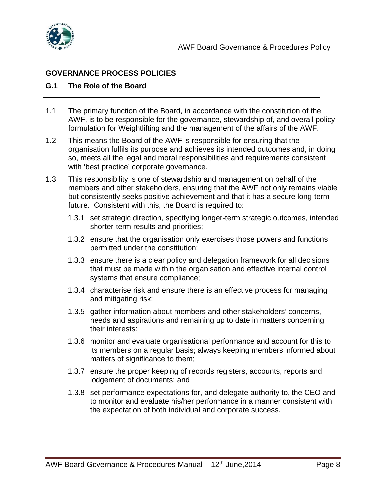

#### **GOVERNANCE PROCESS POLICIES**

#### **G.1 The Role of the Board**

- 1.1 The primary function of the Board, in accordance with the constitution of the AWF, is to be responsible for the governance, stewardship of, and overall policy formulation for Weightlifting and the management of the affairs of the AWF.
- 1.2 This means the Board of the AWF is responsible for ensuring that the organisation fulfils its purpose and achieves its intended outcomes and, in doing so, meets all the legal and moral responsibilities and requirements consistent with 'best practice' corporate governance.
- 1.3 This responsibility is one of stewardship and management on behalf of the members and other stakeholders, ensuring that the AWF not only remains viable but consistently seeks positive achievement and that it has a secure long-term future. Consistent with this, the Board is required to:
	- 1.3.1 set strategic direction, specifying longer-term strategic outcomes, intended shorter-term results and priorities;
	- 1.3.2 ensure that the organisation only exercises those powers and functions permitted under the constitution;
	- 1.3.3 ensure there is a clear policy and delegation framework for all decisions that must be made within the organisation and effective internal control systems that ensure compliance;
	- 1.3.4 characterise risk and ensure there is an effective process for managing and mitigating risk;
	- 1.3.5 gather information about members and other stakeholders' concerns, needs and aspirations and remaining up to date in matters concerning their interests:
	- 1.3.6 monitor and evaluate organisational performance and account for this to its members on a regular basis; always keeping members informed about matters of significance to them;
	- 1.3.7 ensure the proper keeping of records registers, accounts, reports and lodgement of documents; and
	- 1.3.8 set performance expectations for, and delegate authority to, the CEO and to monitor and evaluate his/her performance in a manner consistent with the expectation of both individual and corporate success.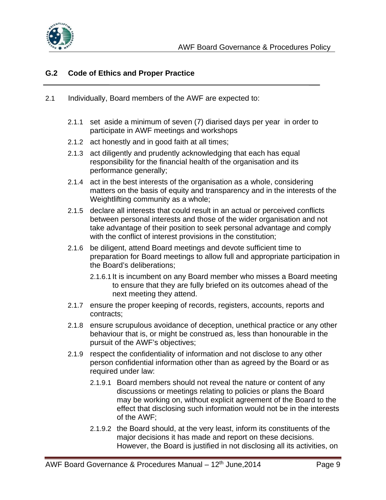

## **G.2 Code of Ethics and Proper Practice**

- 2.1 Individually, Board members of the AWF are expected to:
	- 2.1.1 set aside a minimum of seven (7) diarised days per year in order to participate in AWF meetings and workshops
	- 2.1.2 act honestly and in good faith at all times;
	- 2.1.3 act diligently and prudently acknowledging that each has equal responsibility for the financial health of the organisation and its performance generally;
	- 2.1.4 act in the best interests of the organisation as a whole, considering matters on the basis of equity and transparency and in the interests of the Weightlifting community as a whole;
	- 2.1.5 declare all interests that could result in an actual or perceived conflicts between personal interests and those of the wider organisation and not take advantage of their position to seek personal advantage and comply with the conflict of interest provisions in the constitution;
	- 2.1.6 be diligent, attend Board meetings and devote sufficient time to preparation for Board meetings to allow full and appropriate participation in the Board's deliberations;
		- 2.1.6.1 It is incumbent on any Board member who misses a Board meeting to ensure that they are fully briefed on its outcomes ahead of the next meeting they attend.
	- 2.1.7 ensure the proper keeping of records, registers, accounts, reports and contracts;
	- 2.1.8 ensure scrupulous avoidance of deception, unethical practice or any other behaviour that is, or might be construed as, less than honourable in the pursuit of the AWF's objectives;
	- 2.1.9 respect the confidentiality of information and not disclose to any other person confidential information other than as agreed by the Board or as required under law:
		- 2.1.9.1 Board members should not reveal the nature or content of any discussions or meetings relating to policies or plans the Board may be working on, without explicit agreement of the Board to the effect that disclosing such information would not be in the interests of the AWF;
		- 2.1.9.2 the Board should, at the very least, inform its constituents of the major decisions it has made and report on these decisions. However, the Board is justified in not disclosing all its activities, on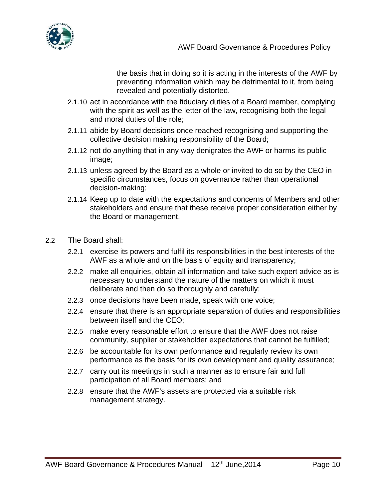

the basis that in doing so it is acting in the interests of the AWF by preventing information which may be detrimental to it, from being revealed and potentially distorted.

- 2.1.10 act in accordance with the fiduciary duties of a Board member, complying with the spirit as well as the letter of the law, recognising both the legal and moral duties of the role;
- 2.1.11 abide by Board decisions once reached recognising and supporting the collective decision making responsibility of the Board;
- 2.1.12 not do anything that in any way denigrates the AWF or harms its public image;
- 2.1.13 unless agreed by the Board as a whole or invited to do so by the CEO in specific circumstances, focus on governance rather than operational decision-making;
- 2.1.14 Keep up to date with the expectations and concerns of Members and other stakeholders and ensure that these receive proper consideration either by the Board or management.
- 2.2 The Board shall:
	- 2.2.1 exercise its powers and fulfil its responsibilities in the best interests of the AWF as a whole and on the basis of equity and transparency;
	- 2.2.2 make all enquiries, obtain all information and take such expert advice as is necessary to understand the nature of the matters on which it must deliberate and then do so thoroughly and carefully;
	- 2.2.3 once decisions have been made, speak with one voice;
	- 2.2.4 ensure that there is an appropriate separation of duties and responsibilities between itself and the CEO;
	- 2.2.5 make every reasonable effort to ensure that the AWF does not raise community, supplier or stakeholder expectations that cannot be fulfilled;
	- 2.2.6 be accountable for its own performance and regularly review its own performance as the basis for its own development and quality assurance;
	- 2.2.7 carry out its meetings in such a manner as to ensure fair and full participation of all Board members; and
	- 2.2.8 ensure that the AWF's assets are protected via a suitable risk management strategy.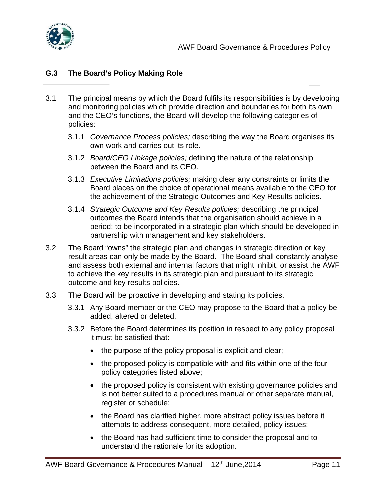

## **G.3 The Board's Policy Making Role**

- 3.1 The principal means by which the Board fulfils its responsibilities is by developing and monitoring policies which provide direction and boundaries for both its own and the CEO's functions, the Board will develop the following categories of policies:
	- 3.1.1 *Governance Process policies;* describing the way the Board organises its own work and carries out its role.
	- 3.1.2 *Board/CEO Linkage policies;* defining the nature of the relationship between the Board and its CEO.
	- 3.1.3 *Executive Limitations policies;* making clear any constraints or limits the Board places on the choice of operational means available to the CEO for the achievement of the Strategic Outcomes and Key Results policies.
	- 3.1.4 *Strategic Outcome and Key Results policies;* describing the principal outcomes the Board intends that the organisation should achieve in a period; to be incorporated in a strategic plan which should be developed in partnership with management and key stakeholders.
- 3.2 The Board "owns" the strategic plan and changes in strategic direction or key result areas can only be made by the Board. The Board shall constantly analyse and assess both external and internal factors that might inhibit, or assist the AWF to achieve the key results in its strategic plan and pursuant to its strategic outcome and key results policies.
- 3.3 The Board will be proactive in developing and stating its policies.
	- 3.3.1 Any Board member or the CEO may propose to the Board that a policy be added, altered or deleted.
	- 3.3.2 Before the Board determines its position in respect to any policy proposal it must be satisfied that:
		- the purpose of the policy proposal is explicit and clear;
		- the proposed policy is compatible with and fits within one of the four policy categories listed above;
		- the proposed policy is consistent with existing governance policies and is not better suited to a procedures manual or other separate manual, register or schedule;
		- the Board has clarified higher, more abstract policy issues before it attempts to address consequent, more detailed, policy issues;
		- the Board has had sufficient time to consider the proposal and to understand the rationale for its adoption.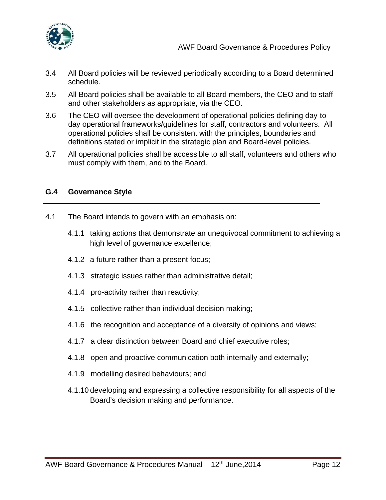

- 3.4 All Board policies will be reviewed periodically according to a Board determined schedule.
- 3.5 All Board policies shall be available to all Board members, the CEO and to staff and other stakeholders as appropriate, via the CEO.
- 3.6 The CEO will oversee the development of operational policies defining day-today operational frameworks/guidelines for staff, contractors and volunteers. All operational policies shall be consistent with the principles, boundaries and definitions stated or implicit in the strategic plan and Board-level policies.
- 3.7 All operational policies shall be accessible to all staff, volunteers and others who must comply with them, and to the Board.

#### **G.4 Governance Style**

- 4.1 The Board intends to govern with an emphasis on:
	- 4.1.1 taking actions that demonstrate an unequivocal commitment to achieving a high level of governance excellence;
	- 4.1.2 a future rather than a present focus;
	- 4.1.3 strategic issues rather than administrative detail;
	- 4.1.4 pro-activity rather than reactivity;
	- 4.1.5 collective rather than individual decision making;
	- 4.1.6 the recognition and acceptance of a diversity of opinions and views;
	- 4.1.7 a clear distinction between Board and chief executive roles;
	- 4.1.8 open and proactive communication both internally and externally;
	- 4.1.9 modelling desired behaviours; and
	- 4.1.10 developing and expressing a collective responsibility for all aspects of the Board's decision making and performance.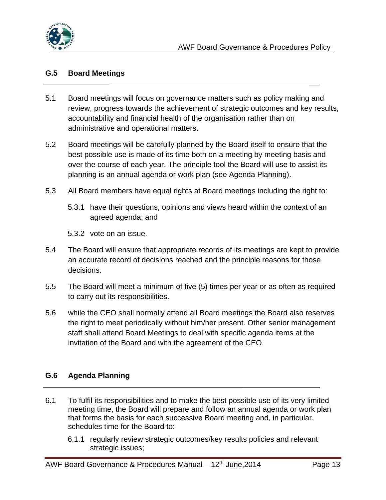

## **G.5 Board Meetings**

- 5.1 Board meetings will focus on governance matters such as policy making and review, progress towards the achievement of strategic outcomes and key results, accountability and financial health of the organisation rather than on administrative and operational matters.
- 5.2 Board meetings will be carefully planned by the Board itself to ensure that the best possible use is made of its time both on a meeting by meeting basis and over the course of each year. The principle tool the Board will use to assist its planning is an annual agenda or work plan (see Agenda Planning).
- 5.3 All Board members have equal rights at Board meetings including the right to:
	- 5.3.1 have their questions, opinions and views heard within the context of an agreed agenda; and
	- 5.3.2 vote on an issue.
- 5.4 The Board will ensure that appropriate records of its meetings are kept to provide an accurate record of decisions reached and the principle reasons for those decisions.
- 5.5 The Board will meet a minimum of five (5) times per year or as often as required to carry out its responsibilities.
- 5.6 while the CEO shall normally attend all Board meetings the Board also reserves the right to meet periodically without him/her present. Other senior management staff shall attend Board Meetings to deal with specific agenda items at the invitation of the Board and with the agreement of the CEO.

#### **G.6 Agenda Planning**

- 6.1 To fulfil its responsibilities and to make the best possible use of its very limited meeting time, the Board will prepare and follow an annual agenda or work plan that forms the basis for each successive Board meeting and, in particular, schedules time for the Board to:
	- 6.1.1 regularly review strategic outcomes/key results policies and relevant strategic issues;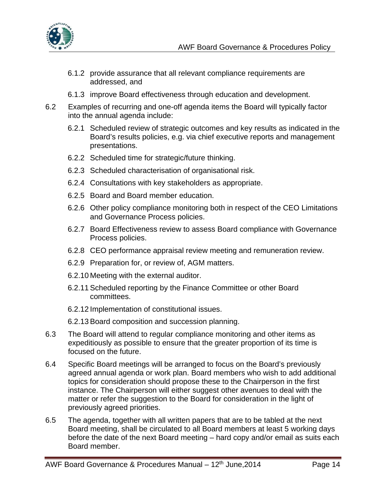

- 6.1.2 provide assurance that all relevant compliance requirements are addressed, and
- 6.1.3 improve Board effectiveness through education and development.
- 6.2 Examples of recurring and one-off agenda items the Board will typically factor into the annual agenda include:
	- 6.2.1 Scheduled review of strategic outcomes and key results as indicated in the Board's results policies, e.g. via chief executive reports and management presentations.
	- 6.2.2 Scheduled time for strategic/future thinking.
	- 6.2.3 Scheduled characterisation of organisational risk.
	- 6.2.4 Consultations with key stakeholders as appropriate.
	- 6.2.5 Board and Board member education.
	- 6.2.6 Other policy compliance monitoring both in respect of the CEO Limitations and Governance Process policies.
	- 6.2.7 Board Effectiveness review to assess Board compliance with Governance Process policies.
	- 6.2.8 CEO performance appraisal review meeting and remuneration review.
	- 6.2.9 Preparation for, or review of, AGM matters.
	- 6.2.10 Meeting with the external auditor.
	- 6.2.11 Scheduled reporting by the Finance Committee or other Board committees.
	- 6.2.12 Implementation of constitutional issues.
	- 6.2.13 Board composition and succession planning.
- 6.3 The Board will attend to regular compliance monitoring and other items as expeditiously as possible to ensure that the greater proportion of its time is focused on the future.
- 6.4 Specific Board meetings will be arranged to focus on the Board's previously agreed annual agenda or work plan. Board members who wish to add additional topics for consideration should propose these to the Chairperson in the first instance. The Chairperson will either suggest other avenues to deal with the matter or refer the suggestion to the Board for consideration in the light of previously agreed priorities.
- 6.5 The agenda, together with all written papers that are to be tabled at the next Board meeting, shall be circulated to all Board members at least 5 working days before the date of the next Board meeting – hard copy and/or email as suits each Board member.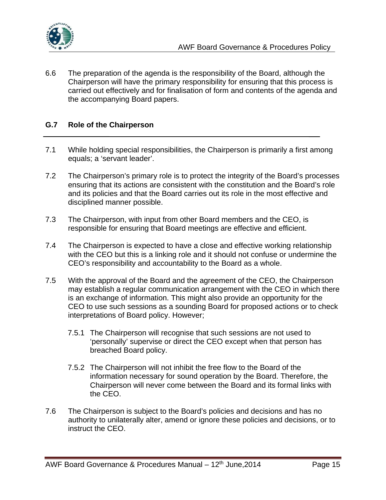

6.6 The preparation of the agenda is the responsibility of the Board, although the Chairperson will have the primary responsibility for ensuring that this process is carried out effectively and for finalisation of form and contents of the agenda and the accompanying Board papers.

#### **G.7 Role of the Chairperson**

- 7.1 While holding special responsibilities, the Chairperson is primarily a first among equals; a 'servant leader'.
- 7.2 The Chairperson's primary role is to protect the integrity of the Board's processes ensuring that its actions are consistent with the constitution and the Board's role and its policies and that the Board carries out its role in the most effective and disciplined manner possible.
- 7.3 The Chairperson, with input from other Board members and the CEO, is responsible for ensuring that Board meetings are effective and efficient.
- 7.4 The Chairperson is expected to have a close and effective working relationship with the CEO but this is a linking role and it should not confuse or undermine the CEO's responsibility and accountability to the Board as a whole.
- 7.5 With the approval of the Board and the agreement of the CEO, the Chairperson may establish a regular communication arrangement with the CEO in which there is an exchange of information. This might also provide an opportunity for the CEO to use such sessions as a sounding Board for proposed actions or to check interpretations of Board policy. However;
	- 7.5.1 The Chairperson will recognise that such sessions are not used to 'personally' supervise or direct the CEO except when that person has breached Board policy.
	- 7.5.2 The Chairperson will not inhibit the free flow to the Board of the information necessary for sound operation by the Board. Therefore, the Chairperson will never come between the Board and its formal links with the CEO.
- 7.6 The Chairperson is subject to the Board's policies and decisions and has no authority to unilaterally alter, amend or ignore these policies and decisions, or to instruct the CEO.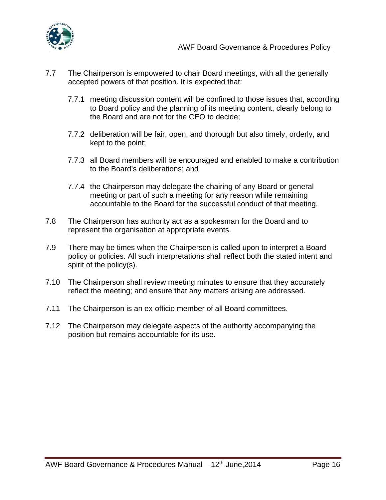

- 7.7 The Chairperson is empowered to chair Board meetings, with all the generally accepted powers of that position. It is expected that:
	- 7.7.1 meeting discussion content will be confined to those issues that, according to Board policy and the planning of its meeting content, clearly belong to the Board and are not for the CEO to decide;
	- 7.7.2 deliberation will be fair, open, and thorough but also timely, orderly, and kept to the point;
	- 7.7.3 all Board members will be encouraged and enabled to make a contribution to the Board's deliberations; and
	- 7.7.4 the Chairperson may delegate the chairing of any Board or general meeting or part of such a meeting for any reason while remaining accountable to the Board for the successful conduct of that meeting.
- 7.8 The Chairperson has authority act as a spokesman for the Board and to represent the organisation at appropriate events.
- 7.9 There may be times when the Chairperson is called upon to interpret a Board policy or policies. All such interpretations shall reflect both the stated intent and spirit of the policy(s).
- 7.10 The Chairperson shall review meeting minutes to ensure that they accurately reflect the meeting; and ensure that any matters arising are addressed.
- 7.11 The Chairperson is an ex-officio member of all Board committees.
- 7.12 The Chairperson may delegate aspects of the authority accompanying the position but remains accountable for its use.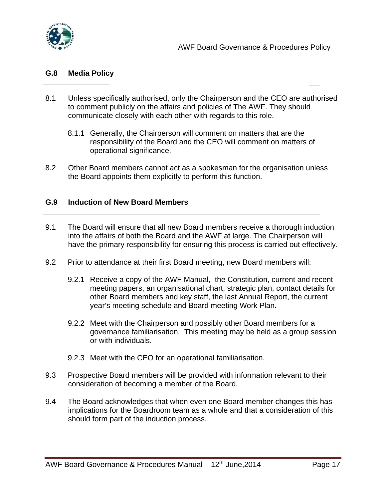

#### **G.8 Media Policy**

- 8.1 Unless specifically authorised, only the Chairperson and the CEO are authorised to comment publicly on the affairs and policies of The AWF. They should communicate closely with each other with regards to this role.
	- 8.1.1 Generally, the Chairperson will comment on matters that are the responsibility of the Board and the CEO will comment on matters of operational significance.
- 8.2 Other Board members cannot act as a spokesman for the organisation unless the Board appoints them explicitly to perform this function.

#### **G.9 Induction of New Board Members**

- 9.1 The Board will ensure that all new Board members receive a thorough induction into the affairs of both the Board and the AWF at large. The Chairperson will have the primary responsibility for ensuring this process is carried out effectively.
- 9.2 Prior to attendance at their first Board meeting, new Board members will:
	- 9.2.1 Receive a copy of the AWF Manual, the Constitution, current and recent meeting papers, an organisational chart, strategic plan, contact details for other Board members and key staff, the last Annual Report, the current year's meeting schedule and Board meeting Work Plan.
	- 9.2.2 Meet with the Chairperson and possibly other Board members for a governance familiarisation. This meeting may be held as a group session or with individuals.
	- 9.2.3 Meet with the CEO for an operational familiarisation.
- 9.3 Prospective Board members will be provided with information relevant to their consideration of becoming a member of the Board.
- 9.4 The Board acknowledges that when even one Board member changes this has implications for the Boardroom team as a whole and that a consideration of this should form part of the induction process.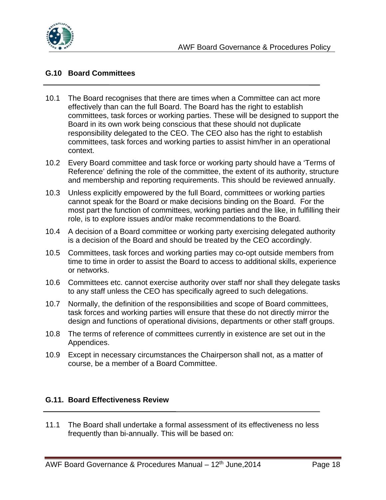

#### **G.10 Board Committees**

- 10.1 The Board recognises that there are times when a Committee can act more effectively than can the full Board. The Board has the right to establish committees, task forces or working parties. These will be designed to support the Board in its own work being conscious that these should not duplicate responsibility delegated to the CEO. The CEO also has the right to establish committees, task forces and working parties to assist him/her in an operational context.
- 10.2 Every Board committee and task force or working party should have a 'Terms of Reference' defining the role of the committee, the extent of its authority, structure and membership and reporting requirements. This should be reviewed annually.
- 10.3 Unless explicitly empowered by the full Board, committees or working parties cannot speak for the Board or make decisions binding on the Board. For the most part the function of committees, working parties and the like, in fulfilling their role, is to explore issues and/or make recommendations to the Board.
- 10.4 A decision of a Board committee or working party exercising delegated authority is a decision of the Board and should be treated by the CEO accordingly.
- 10.5 Committees, task forces and working parties may co-opt outside members from time to time in order to assist the Board to access to additional skills, experience or networks.
- 10.6 Committees etc. cannot exercise authority over staff nor shall they delegate tasks to any staff unless the CEO has specifically agreed to such delegations.
- 10.7 Normally, the definition of the responsibilities and scope of Board committees, task forces and working parties will ensure that these do not directly mirror the design and functions of operational divisions, departments or other staff groups.
- 10.8 The terms of reference of committees currently in existence are set out in the Appendices.
- 10.9 Except in necessary circumstances the Chairperson shall not, as a matter of course, be a member of a Board Committee.

#### **G.11. Board Effectiveness Review**

11.1 The Board shall undertake a formal assessment of its effectiveness no less frequently than bi-annually. This will be based on: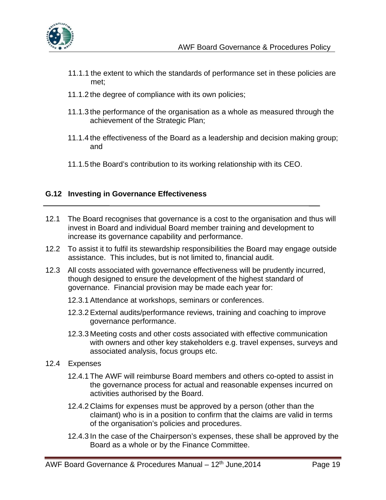

- 11.1.1 the extent to which the standards of performance set in these policies are met;
- 11.1.2 the degree of compliance with its own policies;
- 11.1.3 the performance of the organisation as a whole as measured through the achievement of the Strategic Plan;
- 11.1.4 the effectiveness of the Board as a leadership and decision making group; and
- 11.1.5 the Board's contribution to its working relationship with its CEO.

#### **G.12 Investing in Governance Effectiveness**

- 12.1 The Board recognises that governance is a cost to the organisation and thus will invest in Board and individual Board member training and development to increase its governance capability and performance.
- 12.2 To assist it to fulfil its stewardship responsibilities the Board may engage outside assistance. This includes, but is not limited to, financial audit.
- 12.3 All costs associated with governance effectiveness will be prudently incurred, though designed to ensure the development of the highest standard of governance. Financial provision may be made each year for:
	- 12.3.1 Attendance at workshops, seminars or conferences.
	- 12.3.2 External audits/performance reviews, training and coaching to improve governance performance.
	- 12.3.3 Meeting costs and other costs associated with effective communication with owners and other key stakeholders e.g. travel expenses, surveys and associated analysis, focus groups etc.
- 12.4 Expenses
	- 12.4.1 The AWF will reimburse Board members and others co-opted to assist in the governance process for actual and reasonable expenses incurred on activities authorised by the Board.
	- 12.4.2 Claims for expenses must be approved by a person (other than the claimant) who is in a position to confirm that the claims are valid in terms of the organisation's policies and procedures.
	- 12.4.3 In the case of the Chairperson's expenses, these shall be approved by the Board as a whole or by the Finance Committee.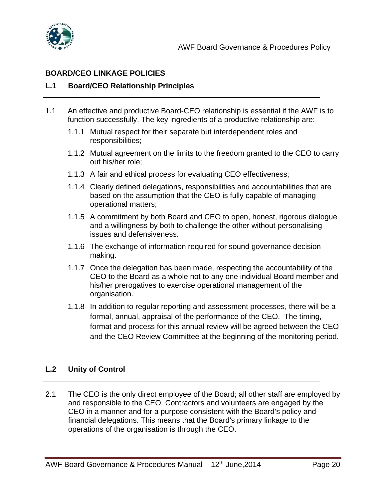

#### **BOARD/CEO LINKAGE POLICIES**

#### **L.1 Board/CEO Relationship Principles**

- 1.1 An effective and productive Board-CEO relationship is essential if the AWF is to function successfully. The key ingredients of a productive relationship are:
	- 1.1.1 Mutual respect for their separate but interdependent roles and responsibilities;
	- 1.1.2 Mutual agreement on the limits to the freedom granted to the CEO to carry out his/her role;
	- 1.1.3 A fair and ethical process for evaluating CEO effectiveness;
	- 1.1.4 Clearly defined delegations, responsibilities and accountabilities that are based on the assumption that the CEO is fully capable of managing operational matters;
	- 1.1.5 A commitment by both Board and CEO to open, honest, rigorous dialogue and a willingness by both to challenge the other without personalising issues and defensiveness.
	- 1.1.6 The exchange of information required for sound governance decision making.
	- 1.1.7 Once the delegation has been made, respecting the accountability of the CEO to the Board as a whole not to any one individual Board member and his/her prerogatives to exercise operational management of the organisation.
	- 1.1.8 In addition to regular reporting and assessment processes, there will be a formal, annual, appraisal of the performance of the CEO. The timing, format and process for this annual review will be agreed between the CEO and the CEO Review Committee at the beginning of the monitoring period.

#### **L.2 Unity of Control**

2.1 The CEO is the only direct employee of the Board; all other staff are employed by and responsible to the CEO. Contractors and volunteers are engaged by the CEO in a manner and for a purpose consistent with the Board's policy and financial delegations. This means that the Board's primary linkage to the operations of the organisation is through the CEO.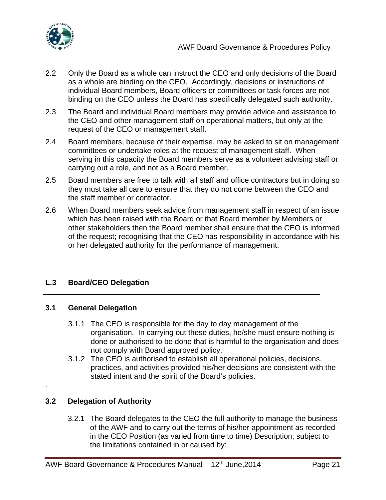

- 2.2 Only the Board as a whole can instruct the CEO and only decisions of the Board as a whole are binding on the CEO. Accordingly, decisions or instructions of individual Board members, Board officers or committees or task forces are not binding on the CEO unless the Board has specifically delegated such authority.
- 2.3 The Board and individual Board members may provide advice and assistance to the CEO and other management staff on operational matters, but only at the request of the CEO or management staff.
- 2.4 Board members, because of their expertise, may be asked to sit on management committees or undertake roles at the request of management staff. When serving in this capacity the Board members serve as a volunteer advising staff or carrying out a role, and not as a Board member.
- 2.5 Board members are free to talk with all staff and office contractors but in doing so they must take all care to ensure that they do not come between the CEO and the staff member or contractor.
- 2.6 When Board members seek advice from management staff in respect of an issue which has been raised with the Board or that Board member by Members or other stakeholders then the Board member shall ensure that the CEO is informed of the request; recognising that the CEO has responsibility in accordance with his or her delegated authority for the performance of management.

# **L.3 Board/CEO Delegation**

#### **3.1 General Delegation**

- 3.1.1 The CEO is responsible for the day to day management of the organisation. In carrying out these duties, he/she must ensure nothing is done or authorised to be done that is harmful to the organisation and does not comply with Board approved policy.
- 3.1.2 The CEO is authorised to establish all operational policies, decisions, practices, and activities provided his/her decisions are consistent with the stated intent and the spirit of the Board's policies.

#### **3.2 Delegation of Authority**

.

3.2.1 The Board delegates to the CEO the full authority to manage the business of the AWF and to carry out the terms of his/her appointment as recorded in the CEO Position (as varied from time to time) Description; subject to the limitations contained in or caused by: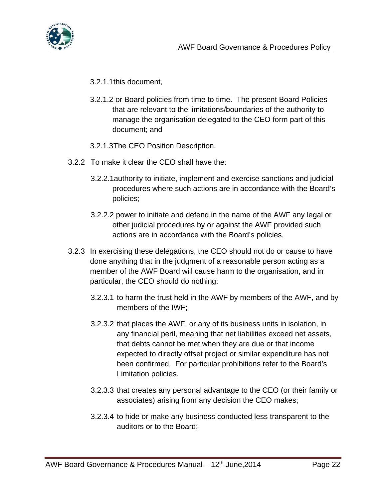

- 3.2.1.1this document,
- 3.2.1.2 or Board policies from time to time. The present Board Policies that are relevant to the limitations/boundaries of the authority to manage the organisation delegated to the CEO form part of this document; and
- 3.2.1.3The CEO Position Description.
- 3.2.2 To make it clear the CEO shall have the:
	- 3.2.2.1authority to initiate, implement and exercise sanctions and judicial procedures where such actions are in accordance with the Board's policies;
	- 3.2.2.2 power to initiate and defend in the name of the AWF any legal or other judicial procedures by or against the AWF provided such actions are in accordance with the Board's policies,
- 3.2.3 In exercising these delegations, the CEO should not do or cause to have done anything that in the judgment of a reasonable person acting as a member of the AWF Board will cause harm to the organisation, and in particular, the CEO should do nothing:
	- 3.2.3.1 to harm the trust held in the AWF by members of the AWF, and by members of the IWF;
	- 3.2.3.2 that places the AWF, or any of its business units in isolation, in any financial peril, meaning that net liabilities exceed net assets, that debts cannot be met when they are due or that income expected to directly offset project or similar expenditure has not been confirmed. For particular prohibitions refer to the Board's Limitation policies.
	- 3.2.3.3 that creates any personal advantage to the CEO (or their family or associates) arising from any decision the CEO makes;
	- 3.2.3.4 to hide or make any business conducted less transparent to the auditors or to the Board;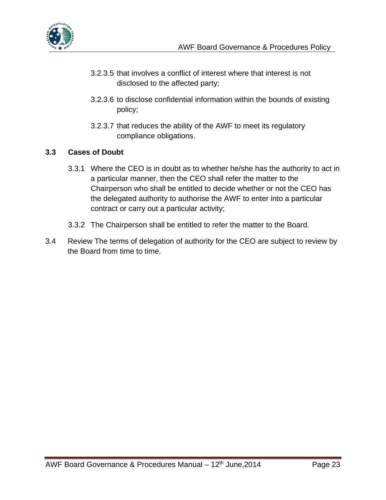

- 3.2.3.5 that involves a conflict of interest where that interest is not disclosed to the affected party;
- 3.2.3.6 to disclose confidential information within the bounds of existing policy;
- 3.2.3.7 that reduces the ability of the AWF to meet its regulatory compliance obligations.

### **3.3 Cases of Doubt**

- 3.3.1 Where the CEO is in doubt as to whether he/she has the authority to act in a particular manner, then the CEO shall refer the matter to the Chairperson who shall be entitled to decide whether or not the CEO has the delegated authority to authorise the AWF to enter into a particular contract or carry out a particular activity;
- 3.3.2 The Chairperson shall be entitled to refer the matter to the Board.
- 3.4 Review The terms of delegation of authority for the CEO are subject to review by the Board from time to time.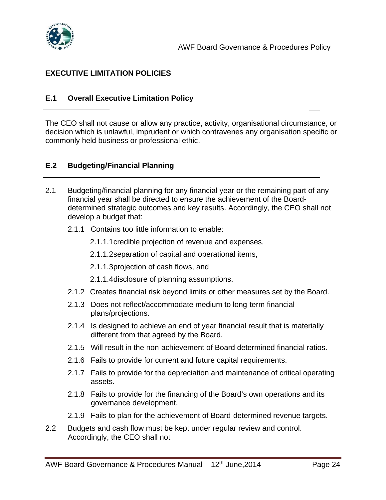

#### **EXECUTIVE LIMITATION POLICIES**

#### **E.1 Overall Executive Limitation Policy**

The CEO shall not cause or allow any practice, activity, organisational circumstance, or decision which is unlawful, imprudent or which contravenes any organisation specific or commonly held business or professional ethic.

#### **E.2 Budgeting/Financial Planning**

- 2.1 Budgeting/financial planning for any financial year or the remaining part of any financial year shall be directed to ensure the achievement of the Boarddetermined strategic outcomes and key results. Accordingly, the CEO shall not develop a budget that:
	- 2.1.1 Contains too little information to enable:
		- 2.1.1.1credible projection of revenue and expenses,
		- 2.1.1.2separation of capital and operational items,
		- 2.1.1.3projection of cash flows, and
		- 2.1.1.4disclosure of planning assumptions.
	- 2.1.2 Creates financial risk beyond limits or other measures set by the Board.
	- 2.1.3 Does not reflect/accommodate medium to long-term financial plans/projections.
	- 2.1.4 Is designed to achieve an end of year financial result that is materially different from that agreed by the Board.
	- 2.1.5 Will result in the non-achievement of Board determined financial ratios.
	- 2.1.6 Fails to provide for current and future capital requirements.
	- 2.1.7 Fails to provide for the depreciation and maintenance of critical operating assets.
	- 2.1.8 Fails to provide for the financing of the Board's own operations and its governance development.
	- 2.1.9 Fails to plan for the achievement of Board-determined revenue targets.
- 2.2 Budgets and cash flow must be kept under regular review and control. Accordingly, the CEO shall not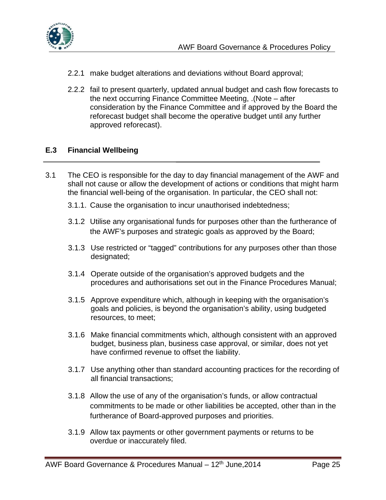



- 2.2.1 make budget alterations and deviations without Board approval;
- 2.2.2 fail to present quarterly, updated annual budget and cash flow forecasts to the next occurring Finance Committee Meeting, .(Note – after consideration by the Finance Committee and if approved by the Board the reforecast budget shall become the operative budget until any further approved reforecast).

### **E.3 Financial Wellbeing**

- 3.1 The CEO is responsible for the day to day financial management of the AWF and shall not cause or allow the development of actions or conditions that might harm the financial well-being of the organisation. In particular, the CEO shall not:
	- 3.1.1. Cause the organisation to incur unauthorised indebtedness;
	- 3.1.2 Utilise any organisational funds for purposes other than the furtherance of the AWF's purposes and strategic goals as approved by the Board;
	- 3.1.3 Use restricted or "tagged" contributions for any purposes other than those designated;
	- 3.1.4 Operate outside of the organisation's approved budgets and the procedures and authorisations set out in the Finance Procedures Manual;
	- 3.1.5 Approve expenditure which, although in keeping with the organisation's goals and policies, is beyond the organisation's ability, using budgeted resources, to meet;
	- 3.1.6 Make financial commitments which, although consistent with an approved budget, business plan, business case approval, or similar, does not yet have confirmed revenue to offset the liability.
	- 3.1.7 Use anything other than standard accounting practices for the recording of all financial transactions;
	- 3.1.8 Allow the use of any of the organisation's funds, or allow contractual commitments to be made or other liabilities be accepted, other than in the furtherance of Board-approved purposes and priorities.
	- 3.1.9 Allow tax payments or other government payments or returns to be overdue or inaccurately filed.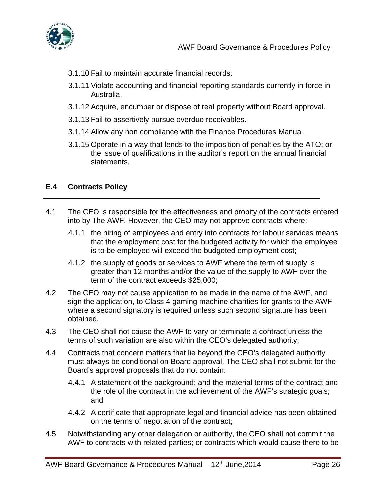

- 3.1.10 Fail to maintain accurate financial records.
- 3.1.11 Violate accounting and financial reporting standards currently in force in Australia.
- 3.1.12 Acquire, encumber or dispose of real property without Board approval.
- 3.1.13 Fail to assertively pursue overdue receivables.
- 3.1.14 Allow any non compliance with the Finance Procedures Manual.
- 3.1.15 Operate in a way that lends to the imposition of penalties by the ATO; or the issue of qualifications in the auditor's report on the annual financial statements.

#### **E.4 Contracts Policy**

- 4.1 The CEO is responsible for the effectiveness and probity of the contracts entered into by The AWF. However, the CEO may not approve contracts where:
	- 4.1.1 the hiring of employees and entry into contracts for labour services means that the employment cost for the budgeted activity for which the employee is to be employed will exceed the budgeted employment cost;
	- 4.1.2 the supply of goods or services to AWF where the term of supply is greater than 12 months and/or the value of the supply to AWF over the term of the contract exceeds \$25,000;
- 4.2 The CEO may not cause application to be made in the name of the AWF, and sign the application, to Class 4 gaming machine charities for grants to the AWF where a second signatory is required unless such second signature has been obtained.
- 4.3 The CEO shall not cause the AWF to vary or terminate a contract unless the terms of such variation are also within the CEO's delegated authority;
- 4.4 Contracts that concern matters that lie beyond the CEO's delegated authority must always be conditional on Board approval. The CEO shall not submit for the Board's approval proposals that do not contain:
	- 4.4.1 A statement of the background; and the material terms of the contract and the role of the contract in the achievement of the AWF's strategic goals; and
	- 4.4.2 A certificate that appropriate legal and financial advice has been obtained on the terms of negotiation of the contract;
- 4.5 Notwithstanding any other delegation or authority, the CEO shall not commit the AWF to contracts with related parties; or contracts which would cause there to be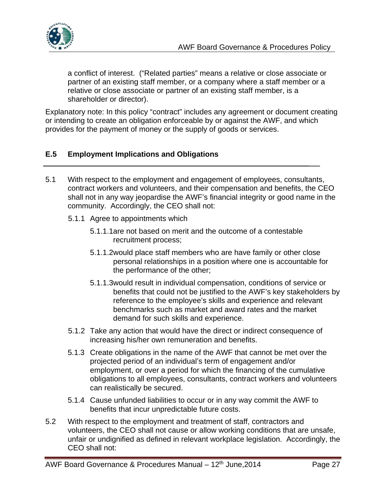

a conflict of interest. ("Related parties" means a relative or close associate or partner of an existing staff member, or a company where a staff member or a relative or close associate or partner of an existing staff member, is a shareholder or director).

Explanatory note: In this policy "contract" includes any agreement or document creating or intending to create an obligation enforceable by or against the AWF, and which provides for the payment of money or the supply of goods or services.

## **E.5 Employment Implications and Obligations**

- 5.1 With respect to the employment and engagement of employees, consultants, contract workers and volunteers, and their compensation and benefits, the CEO shall not in any way jeopardise the AWF's financial integrity or good name in the community. Accordingly, the CEO shall not:
	- 5.1.1 Agree to appointments which
		- 5.1.1.1are not based on merit and the outcome of a contestable recruitment process;
		- 5.1.1.2would place staff members who are have family or other close personal relationships in a position where one is accountable for the performance of the other;
		- 5.1.1.3would result in individual compensation, conditions of service or benefits that could not be justified to the AWF's key stakeholders by reference to the employee's skills and experience and relevant benchmarks such as market and award rates and the market demand for such skills and experience.
	- 5.1.2 Take any action that would have the direct or indirect consequence of increasing his/her own remuneration and benefits.
	- 5.1.3 Create obligations in the name of the AWF that cannot be met over the projected period of an individual's term of engagement and/or employment, or over a period for which the financing of the cumulative obligations to all employees, consultants, contract workers and volunteers can realistically be secured.
	- 5.1.4 Cause unfunded liabilities to occur or in any way commit the AWF to benefits that incur unpredictable future costs.
- 5.2 With respect to the employment and treatment of staff, contractors and volunteers, the CEO shall not cause or allow working conditions that are unsafe, unfair or undignified as defined in relevant workplace legislation. Accordingly, the CEO shall not: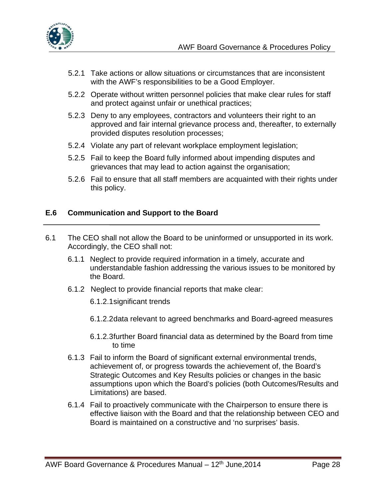

- 5.2.1 Take actions or allow situations or circumstances that are inconsistent with the AWF's responsibilities to be a Good Employer.
- 5.2.2 Operate without written personnel policies that make clear rules for staff and protect against unfair or unethical practices;
- 5.2.3 Deny to any employees, contractors and volunteers their right to an approved and fair internal grievance process and, thereafter, to externally provided disputes resolution processes;
- 5.2.4 Violate any part of relevant workplace employment legislation;
- 5.2.5 Fail to keep the Board fully informed about impending disputes and grievances that may lead to action against the organisation;
- 5.2.6 Fail to ensure that all staff members are acquainted with their rights under this policy.

### **E.6 Communication and Support to the Board**

- 6.1 The CEO shall not allow the Board to be uninformed or unsupported in its work. Accordingly, the CEO shall not:
	- 6.1.1 Neglect to provide required information in a timely, accurate and understandable fashion addressing the various issues to be monitored by the Board.
	- 6.1.2 Neglect to provide financial reports that make clear:
		- 6.1.2.1significant trends
		- 6.1.2.2data relevant to agreed benchmarks and Board-agreed measures
		- 6.1.2.3further Board financial data as determined by the Board from time to time
	- 6.1.3 Fail to inform the Board of significant external environmental trends, achievement of, or progress towards the achievement of, the Board's Strategic Outcomes and Key Results policies or changes in the basic assumptions upon which the Board's policies (both Outcomes/Results and Limitations) are based.
	- 6.1.4 Fail to proactively communicate with the Chairperson to ensure there is effective liaison with the Board and that the relationship between CEO and Board is maintained on a constructive and 'no surprises' basis.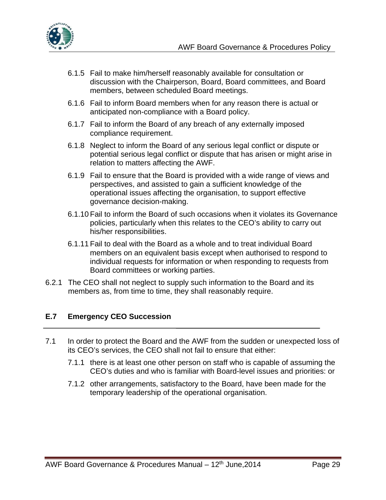

- 6.1.5 Fail to make him/herself reasonably available for consultation or discussion with the Chairperson, Board, Board committees, and Board members, between scheduled Board meetings.
- 6.1.6 Fail to inform Board members when for any reason there is actual or anticipated non-compliance with a Board policy.
- 6.1.7 Fail to inform the Board of any breach of any externally imposed compliance requirement.
- 6.1.8 Neglect to inform the Board of any serious legal conflict or dispute or potential serious legal conflict or dispute that has arisen or might arise in relation to matters affecting the AWF.
- 6.1.9 Fail to ensure that the Board is provided with a wide range of views and perspectives, and assisted to gain a sufficient knowledge of the operational issues affecting the organisation, to support effective governance decision-making.
- 6.1.10 Fail to inform the Board of such occasions when it violates its Governance policies, particularly when this relates to the CEO's ability to carry out his/her responsibilities.
- 6.1.11 Fail to deal with the Board as a whole and to treat individual Board members on an equivalent basis except when authorised to respond to individual requests for information or when responding to requests from Board committees or working parties.
- 6.2.1 The CEO shall not neglect to supply such information to the Board and its members as, from time to time, they shall reasonably require.

## **E.7 Emergency CEO Succession**

- 7.1 In order to protect the Board and the AWF from the sudden or unexpected loss of its CEO's services, the CEO shall not fail to ensure that either:
	- 7.1.1 there is at least one other person on staff who is capable of assuming the CEO's duties and who is familiar with Board-level issues and priorities: or
	- 7.1.2 other arrangements, satisfactory to the Board, have been made for the temporary leadership of the operational organisation.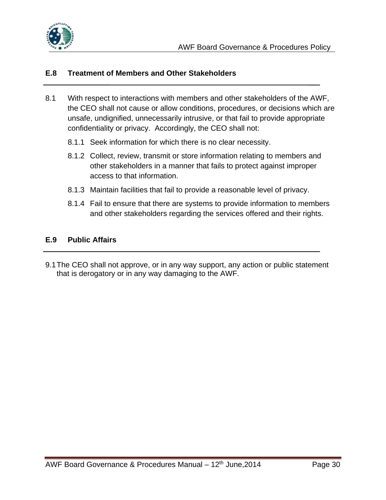

#### **E.8 Treatment of Members and Other Stakeholders**

- 8.1 With respect to interactions with members and other stakeholders of the AWF, the CEO shall not cause or allow conditions, procedures, or decisions which are unsafe, undignified, unnecessarily intrusive, or that fail to provide appropriate confidentiality or privacy. Accordingly, the CEO shall not:
	- 8.1.1 Seek information for which there is no clear necessity.
	- 8.1.2 Collect, review, transmit or store information relating to members and other stakeholders in a manner that fails to protect against improper access to that information.
	- 8.1.3 Maintain facilities that fail to provide a reasonable level of privacy.
	- 8.1.4 Fail to ensure that there are systems to provide information to members and other stakeholders regarding the services offered and their rights.

#### **E.9 Public Affairs**

9.1The CEO shall not approve, or in any way support, any action or public statement that is derogatory or in any way damaging to the AWF.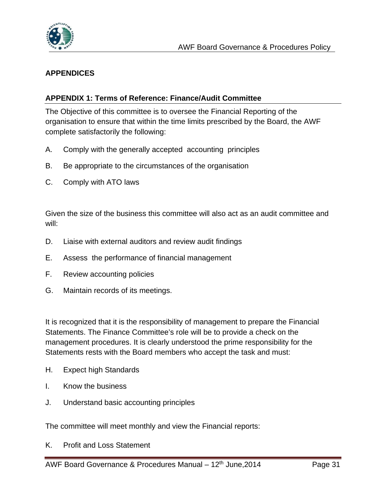

### **APPENDICES**

#### **APPENDIX 1: Terms of Reference: Finance/Audit Committee**

The Objective of this committee is to oversee the Financial Reporting of the organisation to ensure that within the time limits prescribed by the Board, the AWF complete satisfactorily the following:

- A. Comply with the generally accepted accounting principles
- B. Be appropriate to the circumstances of the organisation
- C. Comply with ATO laws

Given the size of the business this committee will also act as an audit committee and will:

- D. Liaise with external auditors and review audit findings
- E. Assess the performance of financial management
- F. Review accounting policies
- G. Maintain records of its meetings.

It is recognized that it is the responsibility of management to prepare the Financial Statements. The Finance Committee's role will be to provide a check on the management procedures. It is clearly understood the prime responsibility for the Statements rests with the Board members who accept the task and must:

- H. Expect high Standards
- I. Know the business
- J. Understand basic accounting principles

The committee will meet monthly and view the Financial reports:

K. Profit and Loss Statement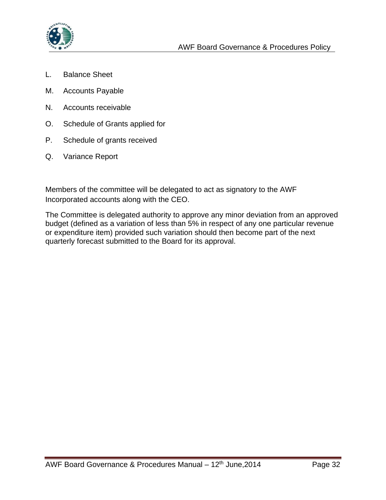

- L. Balance Sheet
- M. Accounts Payable
- N. Accounts receivable
- O. Schedule of Grants applied for
- P. Schedule of grants received
- Q. Variance Report

Members of the committee will be delegated to act as signatory to the AWF Incorporated accounts along with the CEO.

The Committee is delegated authority to approve any minor deviation from an approved budget (defined as a variation of less than 5% in respect of any one particular revenue or expenditure item) provided such variation should then become part of the next quarterly forecast submitted to the Board for its approval.